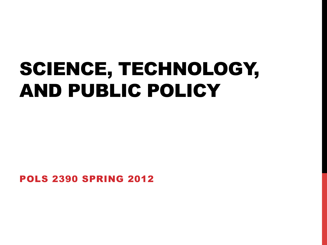# SCIENCE, TECHNOLOGY, AND PUBLIC POLICY

POLS 2390 SPRING 2012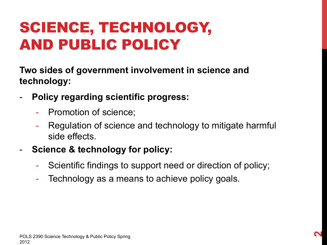### SCIENCE, TECHNOLOGY, AND PUBLIC POLICY

**Two sides of government involvement in science and technology:** 

- **Policy regarding scientific progress:** 
	- Promotion of science;
	- Regulation of science and technology to mitigate harmful side effects.
- **Science & technology for policy:** 
	- Scientific findings to support need or direction of policy;
	- Technology as a means to achieve policy goals.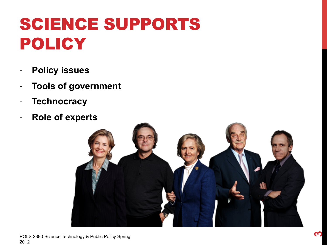## SCIENCE SUPPORTS POLICY

- **Policy issues**
- **Tools of government**
- **Technocracy**
- **Role of experts**

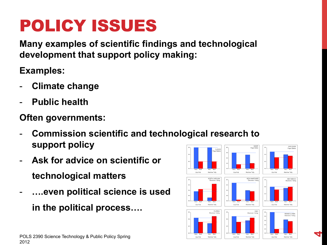### POLICY ISSUES

**Many examples of scientific findings and technological development that support policy making:** 

**Examples:** 

- **Climate change**
- **Public health**

#### **Often governments:**

- **Commission scientific and technological research to support policy**
- **Ask for advice on scientific or technological matters**
- **….even political science is used in the political process….**



**4**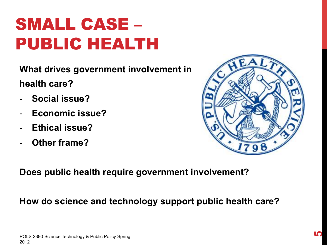# POLS 2390 Science Technology & Public Policy Spring 2012

### SMALL CASE – PUBLIC HEALTH

**What drives government involvement in health care?** 

- **Social issue?**
- **Economic issue?**
- **Ethical issue?**
- **Other frame?**



**Does public health require government involvement?** 

#### **How do science and technology support public health care?**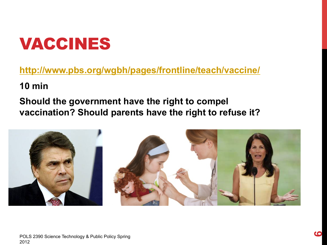### VACCINES

#### **http://www.pbs.org/wgbh/pages/frontline/teach/vaccine/**

#### **10 min**

#### **Should the government have the right to compel vaccination? Should parents have the right to refuse it?**

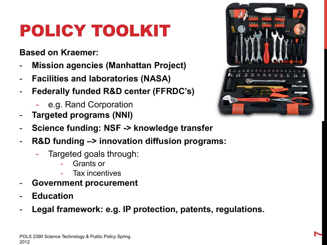# POLICY TOOLKIT

#### **Based on Kraemer:**

- **Mission agencies (Manhattan Project)**
- **Facilities and laboratories (NASA)**
- **Federally funded R&D center (FFRDC's)** 
	- e.g. Rand Corporation
- **Targeted programs (NNI)**
- **Science funding: NSF -> knowledge transfer**
- **R&D funding –> innovation diffusion programs:** 
	- Targeted goals through:
		- Grants or
		- Tax incentives
- **Government procurement**
- **Education**
- Legal framework: e.g. IP protection, patents, regulations.

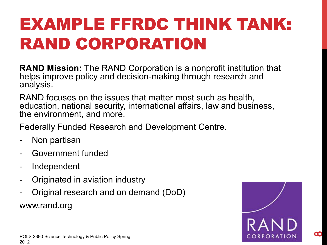## EXAMPLE FFRDC THINK TANK: RAND CORPORATION

**RAND Mission:** The RAND Corporation is a nonprofit institution that helps improve policy and decision-making through research and analysis.

RAND focuses on the issues that matter most such as health, education, national security, international affairs, law and business, the environment, and more.

Federally Funded Research and Development Centre.

- Non partisan
- Government funded
- Independent
- Originated in aviation industry
- Original research and on demand (DoD) www.rand.org



**8**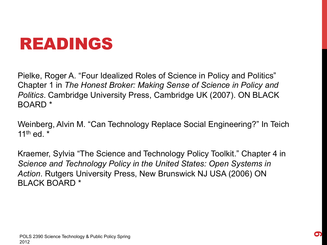### READINGS

Pielke, Roger A. "Four Idealized Roles of Science in Policy and Politics" Chapter 1 in *The Honest Broker: Making Sense of Science in Policy and Politics*. Cambridge University Press, Cambridge UK (2007). ON BLACK BOARD \*

Weinberg, Alvin M. "Can Technology Replace Social Engineering?" In Teich 11th  $ed$  \*

Kraemer, Sylvia "The Science and Technology Policy Toolkit." Chapter 4 in *Science and Technology Policy in the United States: Open Systems in Action*. Rutgers University Press, New Brunswick NJ USA (2006) ON BLACK BOARD \*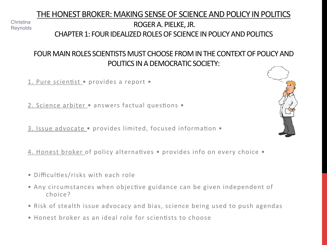#### THE HONEST BROKER: MAKING SENSE OF SCIENCE AND POLICY IN POLITICS ROGER A. PIELKE, JR. CHAPTER 1: FOUR IDEALIZED ROLES OF SCIENCE IN POLICY AND POLITICS

#### FOUR MAIN ROLES SCIENTISTS MUST CHOOSE FROM IN THE CONTEXT OF POLICY AND POLITICS IN A DEMOCRATIC SOCIETY:

1. Pure scientist · provides a report ·

Christina **Reynolds** 

2. Science arbiter • answers factual questions •

3. Issue advocate  $\bullet$  provides limited, focused information  $\bullet$ 

4. Honest broker of policy alternatives • provides info on every choice •

- Difficulties/risks with each role
- Any circumstances when objective guidance can be given independent of choice?
- Risk of stealth issue advocacy and bias, science being used to push agendas
- $\bullet$  Honest broker as an ideal role for scientists to choose

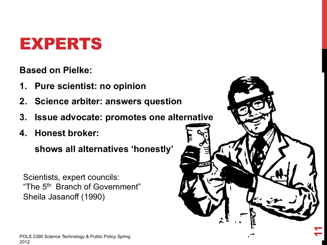### EXPERTS

**Based on Pielke:** 

- **1. Pure scientist: no opinion**
- **2. Science arbiter: answers question**
- **3. Issue advocate: promotes one alternative**

**11** 

**4. Honest broker:** 

 **shows all alternatives 'honestly'** 

Scientists, expert councils: "The 5th Branch of Government" Sheila Jasanoff (1990)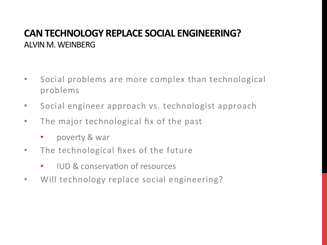#### **CAN TECHNOLOGY REPLACE SOCIAL ENGINEERING?** ALVIN M. WEINBERG

- Social problems are more complex than technological problems
- Social engineer approach vs. technologist approach
- The major technological fix of the past
	- poverty & war
- The technological fixes of the future
	- IUD & conservation of resources
- Will technology replace social engineering?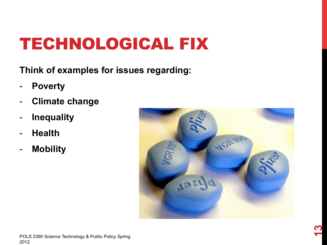## TECHNOLOGICAL FIX

**Think of examples for issues regarding:** 

- **Poverty**
- **Climate change**
- **Inequality**
- **Health**
- **Mobility**

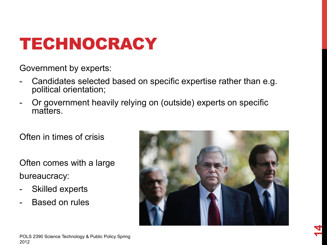### TECHNOCRACY

Government by experts:

- Candidates selected based on specific expertise rather than e.g. political orientation;
- Or government heavily relying on (outside) experts on specific matters.

Often in times of crisis

Often comes with a large bureaucracy:

- Skilled experts
- Based on rules